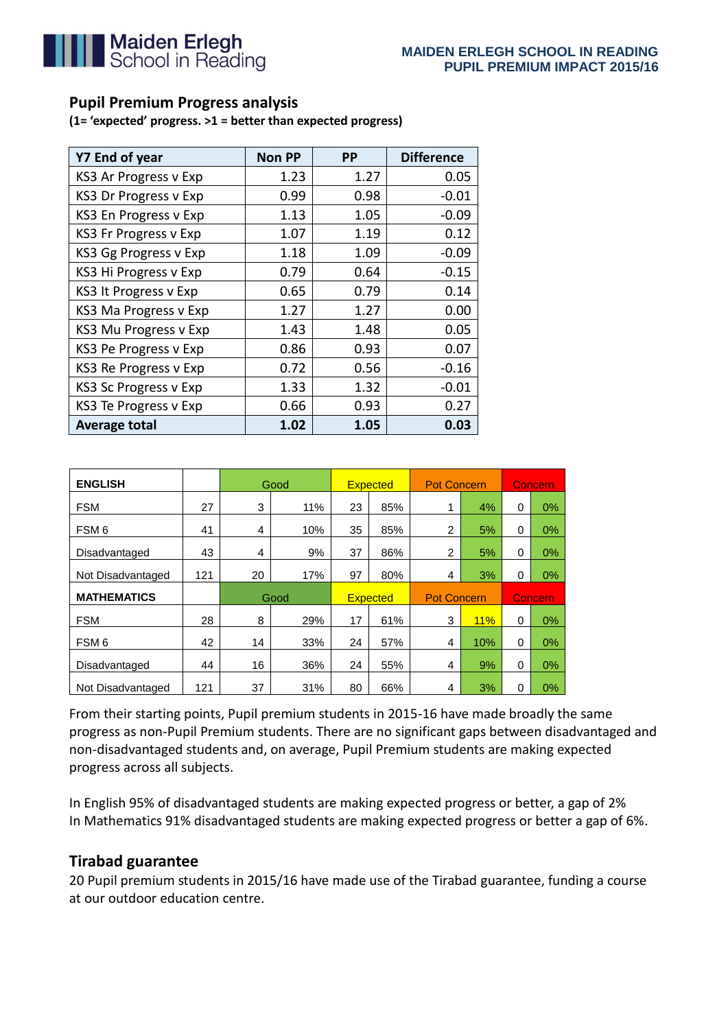

## **Pupil Premium Progress analysis**

**(1= 'expected' progress. >1 = better than expected progress)**

| Y7 End of year               | <b>Non PP</b> | <b>PP</b> | <b>Difference</b> |  |
|------------------------------|---------------|-----------|-------------------|--|
| KS3 Ar Progress v Exp        | 1.23          | 1.27      | 0.05              |  |
| <b>KS3 Dr Progress v Exp</b> | 0.99          | 0.98      | $-0.01$           |  |
| KS3 En Progress v Exp        | 1.13          | 1.05      | -0.09             |  |
| <b>KS3 Fr Progress v Exp</b> | 1.07          | 1.19      | 0.12              |  |
| KS3 Gg Progress v Exp        | 1.18          | 1.09      | $-0.09$           |  |
| KS3 Hi Progress v Exp        | 0.79          | 0.64      | $-0.15$           |  |
| KS3 It Progress v Exp        | 0.65          | 0.79      | 0.14              |  |
| KS3 Ma Progress v Exp        | 1.27          | 1.27      | 0.00              |  |
| KS3 Mu Progress v Exp        | 1.43          | 1.48      | 0.05              |  |
| KS3 Pe Progress v Exp        | 0.86          | 0.93      | 0.07              |  |
| KS3 Re Progress v Exp        | 0.72          | 0.56      | $-0.16$           |  |
| <b>KS3 Sc Progress v Exp</b> | 1.33          | 1.32      | $-0.01$           |  |
| KS3 Te Progress v Exp        | 0.66          | 0.93      | 0.27              |  |
| <b>Average total</b>         | 1.02          | 1.05      | 0.03              |  |

| <b>ENGLISH</b>     |     |      | Good | <b>Expected</b> |     | <b>Pot Concern</b> |     | <b>Concern</b> |    |
|--------------------|-----|------|------|-----------------|-----|--------------------|-----|----------------|----|
| <b>FSM</b>         | 27  | 3    | 11%  | 23              | 85% | 1                  | 4%  | 0              | 0% |
| FSM <sub>6</sub>   | 41  | 4    | 10%  | 35              | 85% | $\overline{2}$     | 5%  | $\Omega$       | 0% |
| Disadvantaged      | 43  | 4    | 9%   | 37              | 86% | $\overline{2}$     | 5%  | 0              | 0% |
| Not Disadvantaged  | 121 | 20   | 17%  | 97              | 80% | 4                  | 3%  | 0              | 0% |
| <b>MATHEMATICS</b> |     | Good |      | <b>Expected</b> |     | <b>Pot Concern</b> |     | Concern        |    |
| <b>FSM</b>         | 28  | 8    | 29%  | 17              | 61% | 3                  | 11% | 0              | 0% |
| FSM <sub>6</sub>   | 42  | 14   | 33%  | 24              | 57% | 4                  | 10% | 0              | 0% |
| Disadvantaged      | 44  | 16   | 36%  | 24              | 55% | 4                  | 9%  | 0              | 0% |
| Not Disadvantaged  | 121 | 37   | 31%  | 80              | 66% | 4                  | 3%  | 0              | 0% |

From their starting points, Pupil premium students in 2015-16 have made broadly the same progress as non-Pupil Premium students. There are no significant gaps between disadvantaged and non-disadvantaged students and, on average, Pupil Premium students are making expected progress across all subjects.

In English 95% of disadvantaged students are making expected progress or better, a gap of 2% In Mathematics 91% disadvantaged students are making expected progress or better a gap of 6%.

## **Tirabad guarantee**

20 Pupil premium students in 2015/16 have made use of the Tirabad guarantee, funding a course at our outdoor education centre.